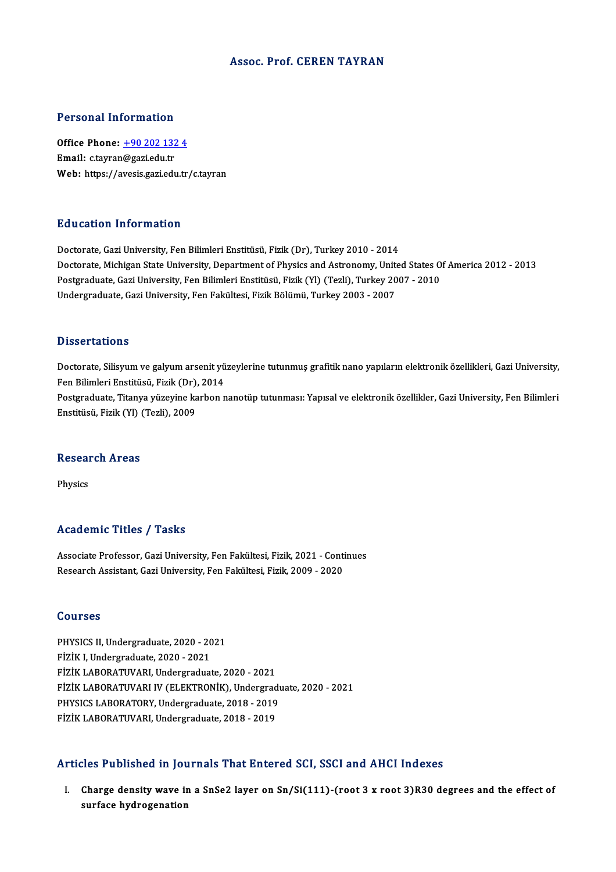#### Assoc. Prof. CEREN TAYRAN

#### Personal Information

Personal Information<br>Office Phone: <u>+90 202 132 4</u><br>Email: ctaurar@sari.edu.tr Procedure Hitler Hitlerich<br>Office Phone: <u>+90 202 132</u><br>Email: c.tayran[@gazi.edu.tr](tel:+90 202 132 4) Email: c.tayran@gazi.edu.tr<br>Web: https://avesis.gazi.edu.tr/c.tayran

#### Education Information

Doctorate, Gazi University, Fen Bilimleri Enstitüsü, Fizik (Dr), Turkey 2010 - 2014 Doctorate, Gazi University, Fen Bilimleri Enstitüsü, Fizik (Dr), Turkey 2010 - 2014<br>Doctorate, Michigan State University, Department of Physics and Astronomy, United States Of America 2012 - 2013<br>Postsraduate Cari Universi Doctorate, Gazi University, Fen Bilimleri Enstitüsü, Fizik (Dr), Turkey 2010 - 2014<br>Doctorate, Michigan State University, Department of Physics and Astronomy, United States O<br>Postgraduate, Gazi University, Fen Bilimleri En Doctorate, Michigan State University, Department of Physics and Astronomy, Unit<br>Postgraduate, Gazi University, Fen Bilimleri Enstitüsü, Fizik (Yl) (Tezli), Turkey 20<br>Undergraduate, Gazi University, Fen Fakültesi, Fizik Böl Undergraduate, Gazi University, Fen Fakültesi, Fizik Bölümü, Turkey 2003 - 2007<br>Dissertations

Dissertations<br>Doctorate, Silisyum ve galyum arsenit yüzeylerine tutunmuş grafitik nano yapıların elektronik özellikleri, Gazi University,<br>Fen Bilimleri Enstitücü, Firik (Dr.), 2014 Basser tatrons<br>Doctorate, Silisyum ve galyum arsenit yü<br>Fen Bilimleri Enstitüsü, Fizik (Dr), 2014<br>Postanaduate, Titanya vürayine karbon n Doctorate, Silisyum ve galyum arsenit yüzeylerine tutunmuş grafitik nano yapıların elektronik özellikleri, Gazi University,<br>Fen Bilimleri Enstitüsü, Fizik (Dr), 2014<br>Postgraduate, Titanya yüzeyine karbon nanotüp tutunması: Fen Bilimleri Enstitüsü, Fizik (Dr), 2014<br>Postgraduate, Titanya yüzeyine karbon nanotüp tutunması: Yapısal ve elektronik özellikler, Gazi University, Fen Bilimleri<br>Enstitüsü, Fizik (Yl) (Tezli), 2009

### ensulusu, rizik (11) (<br>Research Areas Reseai<br><sup>Physics</sup>

# Academic Titles / Tasks

Associate Professor, Gazi University, Fen Fakültesi, Fizik, 2021 - Continues Research Assistant, Gazi University, Fen Fakültesi, Fizik, 2009 - 2020

#### Courses

Courses<br>PHYSICS II, Undergraduate, 2020 - 2021<br>Fizik I, Undergraduate, 2020 - 2021 SSATSSS<br>PHYSICS II, Undergraduate, 2020 - 20<br>FİZİK I, Undergraduate, 2020 - 2021<br>FİZİK I APOPATINAPI, Undergraduat PHYSICS II, Undergraduate, 2020 - 2021<br>FİZİK I, Undergraduate, 2020 - 2021<br>FİZİK LABORATUVARI, Undergraduate, 2020 - 2021<br>FİZİK I APORATUVARI IV (FI EKTRONİK), Undergrad FİZİK I, Undergraduate, 2020 - 2021<br>FİZİK LABORATUVARI, Undergraduate, 2020 - 2021<br>FİZİK LABORATUVARI IV (ELEKTRONİK), Undergraduate, 2020 - 2021<br>PHYSICS LABORATORY, Undergraduate, 2019 - 2019 FİZİK LABORATUVARI, Undergraduate, 2020 - 2021<br>FİZİK LABORATUVARI IV (ELEKTRONİK), Undergradı<br>PHYSICS LABORATORY, Undergraduate, 2018 - 2019<br>FİZİK LABORATUVARI, Undergraduate, 2018 - 2019 FİZİK LABORATUVARI IV (ELEKTRONİK), Undergrad<br>PHYSICS LABORATORY, Undergraduate, 2018 - 2019<br>FİZİK LABORATUVARI, Undergraduate, 2018 - 2019

# FİZİK LABORATUVARI, Undergraduate, 2018 - 2019<br>Articles Published in Journals That Entered SCI, SSCI and AHCI Indexes

I. Charge density wave in a SnSe2 layer on Sn/Si(111)-(root 3 x root 3)R30 degrees and the effect of surface hydrogenation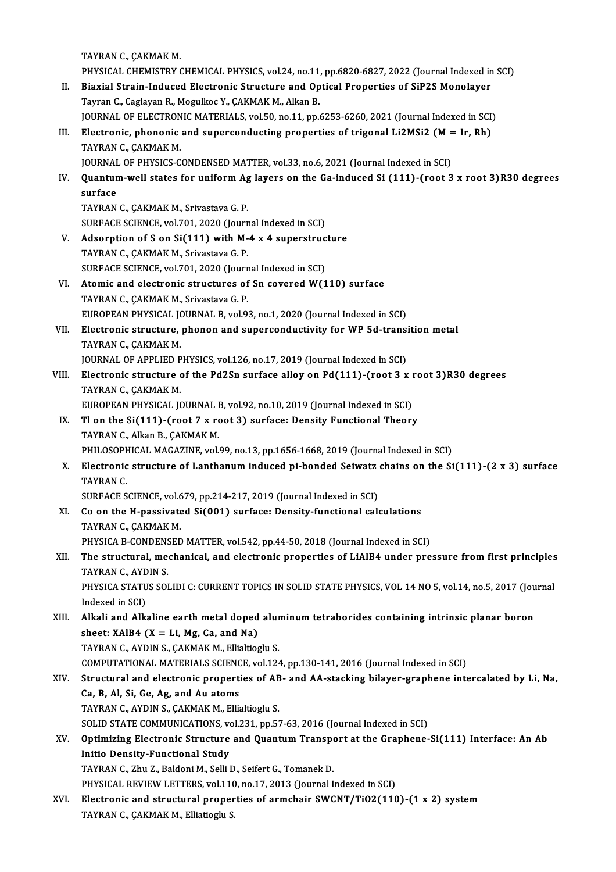TAYRAN C., ÇAKMAK M.

PHYSICAL CHEMISTRY CHEMICAL PHYSICS, vol.24, no.11, pp.6820-6827, 2022 (Journal Indexed in SCI)

- II. Biaxial Strain-Induced Electronic Structure and Optical Properties of SiP2S Monolayer Tayran C., Caglayan R., Mogulkoc Y., ÇAKMAK M., Alkan B. JOURNAL OF ELECTRONIC MATERIALS, vol.50, no.11, pp.6253-6260, 2021 (Journal Indexed in SCI)
- Tayran C., Caglayan R., Mogulkoc Y., ÇAKMAK M., Alkan B.<br>JOURNAL OF ELECTRONIC MATERIALS, vol.50, no.11, pp.6253-6260, 2021 (Journal Indexed in SCI)<br>III. Electronic, phononic and superconducting properties of trigonal Li2M **JOURNAL OF ELECTRON<br>Electronic, phononic<br>TAYRAN C., ÇAKMAK M.<br>JOUPNAL OF PHYSICS C** Electronic, phononic and superconducting properties of trigonal Li2MSi2 (M =<br>TAYRAN C., ÇAKMAK M.<br>JOURNAL OF PHYSICS-CONDENSED MATTER, vol.33, no.6, 2021 (Journal Indexed in SCI)<br>Quantum well states for uniform As layers o

TAYRAN C., ÇAKMAK M.<br>JOURNAL OF PHYSICS-CONDENSED MATTER, vol.33, no.6, 2021 (Journal Indexed in SCI)<br>IV. Quantum-well states for uniform Ag layers on the Ga-induced Si (111)-(root 3 x root 3)R30 degrees<br>surface **JOURNAL<br>Quantur<br>surface**<br>TAVPAN surface<br>TAYRAN C., ÇAKMAK M., Srivastava G. P.

SURFACE SCIENCE, vol.701, 2020 (Journal Indexed in SCI)

- V. Adsorption of S on Si(111) with M-4 x 4 superstructure TAYRAN C., ÇAKMAK M., Srivastava G. P. Adsorption of S on Si(111) with M-4 x 4 superstructorum C., CAKMAK M., Srivastava G. P.<br>SURFACE SCIENCE, vol.701, 2020 (Journal Indexed in SCI)<br>Atomia and algatranic structures of Sn sovened W(1
- VI. Atomic and electronic structures of Sn covered W(110) surface<br>TAYRAN C., CAKMAK M., Srivastava G. P. SURFACE SCIENCE, vol.701, 2020 (Journ<br>**Atomic and electronic structures of**<br>TAYRAN C., ÇAKMAK M., Srivastava G. P.<br>FUROPEAN PHYSICAL JOUPMAL B. vol.93 EUROPEAN PHYSICAL JOURNAL B, vol.93, no.1, 2020 (Journal Indexed in SCI)
- TAYRAN C., ÇAKMAK M., Srivastava G. P.<br>EUROPEAN PHYSICAL JOURNAL B, vol.93, no.1, 2020 (Journal Indexed in SCI)<br>VII. Electronic structure, phonon and superconductivity for WP 5d-transition metal<br>TAVRAN C. CAKMAK M EUROPEAN PHYSICAL JON<br>Electronic structure,<br>TAYRAN C., ÇAKMAK M.<br>JOUPNAL OF APPLIED B Electronic structure, phonon and superconductivity for WP 5d-transi<br>TAYRAN C., ÇAKMAK M.<br>JOURNAL OF APPLIED PHYSICS, vol.126, no.17, 2019 (Journal Indexed in SCI)<br>Flectronic structure of the Bd2Sn surface alloy on Bd(111) JOURNAL OF APPLIED PHYSICS, vol.126, no.17, 2019 (Journal Indexed in SCI)
- TAYRAN C., ÇAKMAK M.<br>JOURNAL OF APPLIED PHYSICS, vol.126, no.17, 2019 (Journal Indexed in SCI)<br>VIII. Electronic structure of the Pd2Sn surface alloy on Pd(111)-(root 3 x root 3)R30 degrees<br>TAYRAN C., ÇAKMAK M. Electronic structure of the Pd2Sn surface alloy on Pd(111)-(root 3 x i<br>TAYRAN C., ÇAKMAK M.<br>EUROPEAN PHYSICAL JOURNAL B, vol.92, no.10, 2019 (Journal Indexed in SCI)<br>Tl on the Si(111) (root 7 x root 3) surface: Density Eun
	-
- TAYRAN C., ÇAKMAK M.<br>EUROPEAN PHYSICAL JOURNAL B, vol.92, no.10, 2019 (Journal Indexed in SCI)<br>IX. Tl on the Si(111)-(root 7 x root 3) surface: Density Functional Theory<br>TAYRAN C. Alian B. CAYMAK M. EUROPEAN PHYSICAL JOURNAL I<br>T1 on the Si(111)-(root 7 x re<br>TAYRAN C., Alkan B., ÇAKMAK M.<br>PHILOSOPHICAL MACAZINE .... Tl on the Si(111)-(root 7 x root 3) surface: Density Functional Theory<br>TAYRAN C., Alkan B., ÇAKMAK M.<br>PHILOSOPHICAL MAGAZINE, vol.99, no.13, pp.1656-1668, 2019 (Journal Indexed in SCI)<br>Flestronis structure of Lanthanum ind TAYRAN C., Alkan B., ÇAKMAK M.<br>PHILOSOPHICAL MAGAZINE, vol.99, no.13, pp.1656-1668, 2019 (Journal Indexed in SCI)<br>X. Electronic structure of Lanthanum induced pi-bonded Seiwatz chains on the Si(111)-(2 x 3) surface<br>TAV
- PHILOSOPH<br>Electronic<br>TAYRAN C.<br>SUPEACE S Electronic structure of Lanthanum induced pi-bonded Seiwatz<br>TAYRAN C.<br>SURFACE SCIENCE, vol.679, pp.214-217, 2019 (Journal Indexed in SCI)<br>Se on the H nassivated Si(001) surface: Density functional sol.

SURFACE SCIENCE, vol.679, pp.214-217, 2019 (Journal Indexed in SCI)

- TAYRAN C.<br>SURFACE SCIENCE, vol.679, pp.214-217, 2019 (Journal Indexed in SCI)<br>XI. Co on the H-passivated Si(001) surface: Density-functional calculations<br>TAYRAN C., CAKMAK M. Co on the H-passivated Si(001) surface: Density-functional calculations<br>TAYRAN C., ÇAKMAK M.<br>PHYSICA B-CONDENSED MATTER, vol.542, pp.44-50, 2018 (Journal Indexed in SCI)<br>The structural mechanisal and electronic properties
- TAYRAN C., ÇAKMAK M.<br>PHYSICA B-CONDENSED MATTER, vol.542, pp.44-50, 2018 (Journal Indexed in SCI)<br>XII. The structural, mechanical, and electronic properties of LiAlB4 under pressure from first principles<br>TAYBAN C. AYDI PHYSICA B-CONDENS<br>The structural, me<br>TAYRAN C., AYDIN S.<br>PHYSICA STATUS SOI The structural, mechanical, and electronic properties of LiAlB4 under pressure from first principles<br>TAYRAN C., AYDIN S.<br>PHYSICA STATUS SOLIDI C: CURRENT TOPICS IN SOLID STATE PHYSICS, VOL 14 NO 5, vol.14, no.5, 2017 (Jour TAYRAN C., AYDIN S.<br>PHYSICA STATUS SOLIDI C: CURRENT TOPICS IN SOLID STATE PHYSICS, VOL 14 NO 5, vol.14, no.5, 2017 (Journal<br>Indexed in SCI)
- PHYSICA STATUS SOLIDI C: CURRENT TOPICS IN SOLID STATE PHYSICS, VOL 14 NO 5, vol.14, no.5, 2017 (Jou<br>Indexed in SCI)<br>XIII. Alkali and Alkaline earth metal doped aluminum tetraborides containing intrinsic planar boron<br>shee Indexed in SCI)<br>Alkali and Alkaline earth metal doped<br>sheet: XAlB4 (X = Li, Mg, Ca, and Na)<br>TAVRAN C. AVDIN S. CAKMAK M. Ellialtics Alkali and Alkaline earth metal doped alur<br>sheet: XAlB4 (X = Li, Mg, Ca, and Na)<br>TAYRAN C., AYDIN S., ÇAKMAK M., Ellialtioglu S.<br>COMBUTATIONAL MATERIALS SCIENCE vol 124 sheet: XAIB4 (X = Li, Mg, Ca, and Na)<br>TAYRAN C., AYDIN S., ÇAKMAK M., Ellialtioglu S.<br>COMPUTATIONAL MATERIALS SCIENCE, vol.124, pp.130-141, 2016 (Journal Indexed in SCI)<br>Structural and electronic proporties of AB, and AA s TAYRAN C., AYDIN S., ÇAKMAK M., Ellialtioglu S.<br>COMPUTATIONAL MATERIALS SCIENCE, vol.124, pp.130-141, 2016 (Journal Indexed in SCI)<br>XIV. Structural and electronic properties of AB- and AA-stacking bilayer-graphene intercal

- COMPUTATIONAL MATERIALS SCIENC<br>Structural and electronic propertica, B, Al, Si, Ge, Ag, and Au atoms<br>TAVPAN C AVDINS CAVMAV M, Ellis Structural and electronic properties of AB<br>Ca, B, Al, Si, Ge, Ag, and Au atoms<br>TAYRAN C., AYDIN S., ÇAKMAK M., Ellialtioglu S.<br>SOLID STATE COMMUNICATIONS, vol 221, pp.55 Ca, B, Al, Si, Ge, Ag, and Au atoms<br>TAYRAN C., AYDIN S., ÇAKMAK M., Ellialtioglu S.<br>SOLID STATE COMMUNICATIONS, vol.231, pp.57-63, 2016 (Journal Indexed in SCI)<br>Ontimining Electronic Structure and Quentum Trensport et the TAYRAN C., AYDIN S., ÇAKMAK M., Ellialtioglu S.<br>SOLID STATE COMMUNICATIONS, vol.231, pp.57-63, 2016 (Journal Indexed in SCI)<br>XV. Optimizing Electronic Structure and Quantum Transport at the Graphene-Si(111) Interface: SOLID STATE COMMUNICATIONS, vo<br>Optimizing Electronic Structure<br>Initio Density-Functional Study<br>TAVPAN C. Zby Z. Poldoni M. Solli I
- Optimizing Electronic Structure and Quantum Transpo<br>Initio Density-Functional Study<br>TAYRAN C., Zhu Z., Baldoni M., Selli D., Seifert G., Tomanek D.<br>PHYSICAL REVIEW LETTERS vol 110 Po 17, 2012 (Journal L Initio Density-Functional Study<br>TAYRAN C., Zhu Z., Baldoni M., Selli D., Seifert G., Tomanek D.<br>PHYSICAL REVIEW LETTERS, vol.110, no.17, 2013 (Journal Indexed in SCI)<br>Flestronis and structural proporties of armabeir SWCNT/

TAYRAN C., Zhu Z., Baldoni M., Selli D., Seifert G., Tomanek D.<br>PHYSICAL REVIEW LETTERS, vol.110, no.17, 2013 (Journal Indexed in SCI)<br>XVI. Electronic and structural properties of armchair SWCNT/TiO2(110)-(1 x 2) system<br>TA PHYSICAL REVIEW LETTERS, vol.110<br><mark>Electronic and structural proper</mark><br>TAYRAN C., ÇAKMAK M., Elliatioglu S.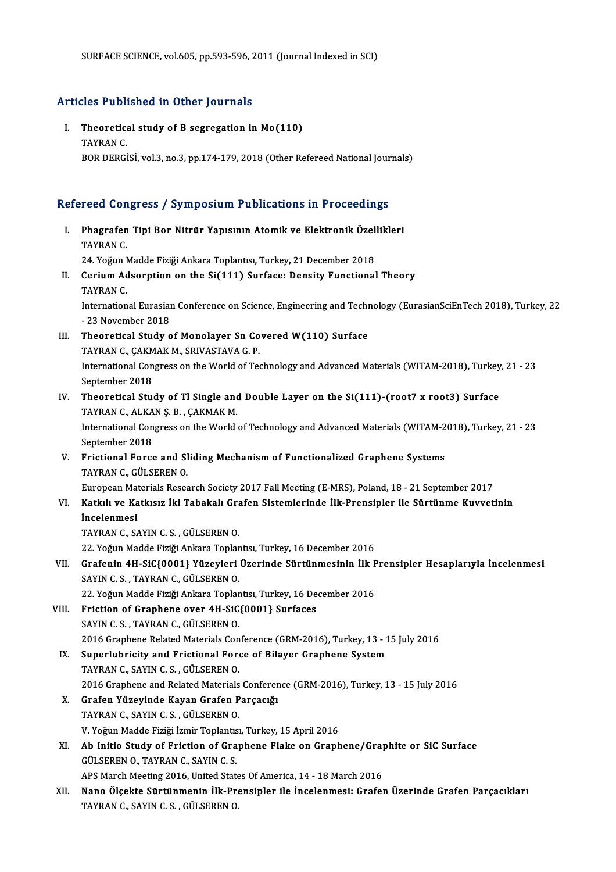### Articles Published in Other Journals

rticles Published in Other Journals<br>I. Theoretical study of B segregation in Mo(110)<br>TAVPAN C Theoretic:<br>Theoretic:<br>TAYRAN C.<br>POP DEPC! TAYRAN C.<br>BOR DERGİSİ, vol.3, no.3, pp.174-179, 2018 (Other Refereed National Journals)

# вок Dekulsi, vol.s, no.s, pp.174-179, 2018 (Other Refereed National Jour<br>Refereed Congress / Symposium Publications in Proceedings

efereed Congress / Symposium Publications in Proceedings<br>I. Phagrafen Tipi Bor Nitrür Yapısının Atomik ve Elektronik Özellikleri<br>TAVRAN C Phagrafen<br>TAYRAN C.<br>24 Yeğun L Phagrafen Tipi Bor Nitrür Yapısının Atomik ve Elektronik Özel<br>TAYRAN C.<br>24. Yoğun Madde Fiziği Ankara Toplantısı, Turkey, 21 December 2018<br>Cenium Adeanntion on the Si(111) Surface: Density Eunstianel TAYRAN C.<br>24. Yoğun Madde Fiziği Ankara Toplantısı, Turkey, 21 December 2018<br>II. Cerium Adsorption on the Si(111) Surface: Density Functional Theory<br>TAYRAN C. 24. Yoğun Madde Fiziği Ankara Toplantısı, Turkey, 21 December 2018 Cerium Adsorption on the Si(111) Surface: Density Functional Theory<br>TAYRAN C.<br>International Eurasian Conference on Science, Engineering and Technology (EurasianSciEnTech 2018), Turkey, 22<br>23 November 2019 TAYRAN C.<br>International Eurasial<br>- 23 November 2018<br>Theoratical Study c International Eurasian Conference on Science, Engineering and Techn<br>- 23 November 2018<br>III. Theoretical Study of Monolayer Sn Covered W(110) Surface<br>TAVRAN C. CAKMAK M. SPIVASTAVA C. B - 23 November 2018<br>Theoretical Study of Monolayer Sn Co<br>TAYRAN C., ÇAKMAK M., SRIVASTAVA G. P.<br>International Congress on the World of Tea International Congress on the World of Technology and Advanced Materials (WITAM-2018), Turkey, 21 - 23<br>September 2018 TAYRAN C., ÇAKMAK M., SRIVASTAVA G. P. IV. Theoretical Study of Tl Single and Double Layer on the Si(111)-(root7 x root3) Surface September 2018<br>Theoretical Study of Tl Single and<br>TAYRAN C., ALKAN Ş. B. , ÇAKMAK M.<br>International Congress on the World International Congress on the World of Technology and Advanced Materials (WITAM-2018), Turkey, 21 - 23<br>September 2018 TAYRAN C., ALKA<br>International Con<br>September 2018<br>Eristional Forse International Congress on the World of Technology and Advanced Materials (WITAM-2<br>September 2018<br>V. Frictional Force and Sliding Mechanism of Functionalized Graphene Systems<br>TAVPAN C. CÜLSEREN O. September 2018<br>Frictional Force and SI<br>TAYRAN C., GÜLSEREN O.<br>Euronean Materials Besse TAYRAN C., GÜLSEREN O.<br>European Materials Research Society 2017 Fall Meeting (E-MRS), Poland, 18 - 21 September 2017 TAYRAN C., GÜLSEREN O.<br>European Materials Research Society 2017 Fall Meeting (E-MRS), Poland, 18 - 21 September 2017<br>VI. Katkılı ve Katkısız İki Tabakalı Grafen Sistemlerinde İlk-Prensipler ile Sürtünme Kuvvetinin<br>İnce European Mai<br><mark>Katkılı ve Ka</mark><br>İncelenmesi Katkılı ve Katkısız İki Tabakalı Grander<br>İncelenmesi<br>TAYRAN C., SAYIN C. S. , GÜLSEREN 0.<br>22 Yeğun Madde Eiziği Ankara Tenka İncelenmesi<br>TAYRAN C., SAYIN C. S. , GÜLSEREN O.<br>22. Yoğun Madde Fiziği Ankara Toplantısı, Turkey, 16 December 2016<br>Crafonin 4H SiC(0001) Yürovleri Ünerinde Sürtünmesinin İlk E TAYRAN C., SAYIN C. S. , GÜLSEREN O.<br>22. Yoğun Madde Fiziği Ankara Toplantısı, Turkey, 16 December 2016<br>VII. Grafenin 4H-SiC{0001} Yüzeyleri Üzerinde Sürtünmesinin İlk Prensipler Hesaplarıyla İncelenmesi<br>SAYIN C. S. , 22. Yoğun Madde Fiziği Ankara Toplar<br>Grafenin 4H-SiC{0001} Yüzeyleri<br>SAYIN C. S. , TAYRAN C., GÜLSEREN O.<br>22. Yoğun Madde Fiziği Ankara Toplar Grafenin 4H-SiC{0001} Yüzeyleri Üzerinde Sürtünmesinin İlk F<br>SAYIN C. S. , TAYRAN C., GÜLSEREN 0.<br>22. Yoğun Madde Fiziği Ankara Toplantısı, Turkey, 16 December 2016<br>Fristion of Craphone over 4H SiC(0001) Surfases VIII. Friction of Graphene over 4H-SiC{0001} Surfaces<br>SAYIN C. S., TAYRAN C., GÜLSEREN O. 22. Yoğun Madde Fiziği Ankara Toplar<br>Friction of Graphene over 4H-SiC<br>SAYIN C. S. , TAYRAN C., GÜLSEREN O.<br>2016 Craphene Belated Materials Con Friction of Graphene over 4H-SiC{0001} Surfaces<br>SAYIN C. S. , TAYRAN C., GÜLSEREN 0.<br>2016 Graphene Related Materials Conference (GRM-2016), Turkey, 13 - 15 July 2016<br>Sunorlubrisity and Eristianal Forse of Bilayer Graphene SAYIN C. S., TAYRAN C., GÜLSEREN O.<br>2016 Graphene Related Materials Conference (GRM-2016), Turkey, 13 - 1<br>IX. Superlubricity and Frictional Force of Bilayer Graphene System<br>TAYRAN C. SAYIN C. S. CULSERN O. 2016 Graphene Related Materials Con<br>Superlubricity and Frictional Fore<br>TAYRAN C., SAYIN C. S. , GÜLSEREN O.<br>2016 Crophene and Belated Materials Superlubricity and Frictional Force of Bilayer Graphene System<br>TAYRAN C., SAYIN C. S. , GÜLSEREN 0.<br>2016 Graphene and Related Materials Conference (GRM-2016), Turkey, 13 - 15 July 2016<br>Crafon Vürovinde Kayen Crafon Barssev TAYRAN C., SAYIN C. S., GÜLSEREN O.<br>2016 Graphene and Related Materials Conferer<br>X. Grafen Yüzeyinde Kayan Grafen Parçacığı<br>TAYPAN C. SAYIN C. S. CÜLSEREN O. 2016 Graphene and Related Materials<br>Grafen Yüzeyinde Kayan Grafen P<br>TAYRAN C., SAYIN C. S. , GÜLSEREN O.<br>V. Yeğun Madde Fiziği İsmir Toplantısı Grafen Yüzeyinde Kayan Grafen Parçacığı<br>TAYRAN C., SAYIN C. S. , GÜLSEREN 0.<br>V. Yoğun Madde Fiziği İzmir Toplantısı, Turkey, 15 April 2016<br>Ab Initio Study of Enistion of Cranbone Elake en Cranb TAYRAN C., SAYIN C. S. , GÜLSEREN O.<br>V. Yoğun Madde Fiziği İzmir Toplantısı, Turkey, 15 April 2016<br>XI. Ab Initio Study of Friction of Graphene Flake on Graphene/Graphite or SiC Surface<br>CÜLSEREN O. TAYRAN C. SAYIN C. S V. Yoğun Madde Fiziği İzmir Toplantıs<br>**Ab Initio Study of Friction of Gra**<br>GÜLSEREN O., TAYRAN C., SAYIN C. S.<br>APS Marsh Masting 2016, United Stat Ab Initio Study of Friction of Graphene Flake on Graphene/Grap<br>GÜLSEREN 0., TAYRAN C., SAYIN C. S.<br>APS March Meeting 2016, United States Of America, 14 - 18 March 2016<br>Nano Ölsekte Süntünmenin Illy Pronsinler ile İnselenme GÜLSEREN 0., TAYRAN C., SAYIN C. S.<br>APS March Meeting 2016, United States Of America, 14 - 18 March 2016<br>XII. Nano Ölçekte Sürtünmenin İlk-Prensipler ile İncelenmesi: Grafen Üzerinde Grafen Parçacıkları<br>TAYPAN C. SAYIN C. APS March Meeting 2016, United State<br><mark>Nano Ölçekte Sürtünmenin İlk-Pr</mark>e<br>TAYRAN C., SAYIN C. S. , GÜLSEREN O.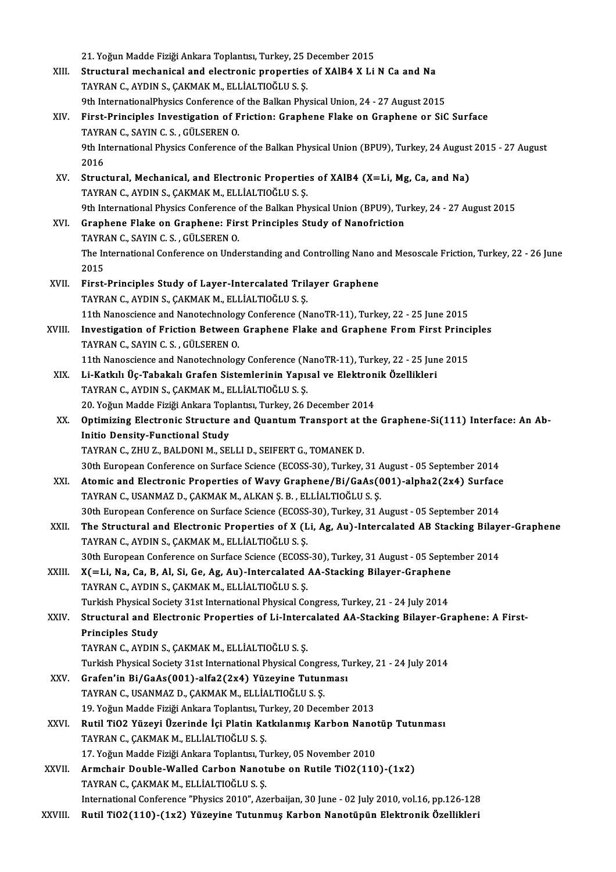|         | 21. Yoğun Madde Fiziği Ankara Toplantısı, Turkey, 25 December 2015                                                                                         |
|---------|------------------------------------------------------------------------------------------------------------------------------------------------------------|
| XIII.   | Structural mechanical and electronic properties of XAIB4 X Li N Ca and Na                                                                                  |
|         | TAYRAN C., AYDIN S., ÇAKMAK M., ELLİALTIOĞLU S. Ş.                                                                                                         |
|         | 9th InternationalPhysics Conference of the Balkan Physical Union, 24 - 27 August 2015                                                                      |
| XIV.    | First-Principles Investigation of Friction: Graphene Flake on Graphene or SiC Surface                                                                      |
|         | TAYRAN C., SAYIN C. S., GÜLSEREN O.                                                                                                                        |
|         | 9th International Physics Conference of the Balkan Physical Union (BPU9), Turkey, 24 August 2015 - 27 August<br>2016                                       |
| XV.     | Structural, Mechanical, and Electronic Properties of XAlB4 (X=Li, Mg, Ca, and Na)                                                                          |
|         | TAYRAN C., AYDIN S., ÇAKMAK M., ELLİALTIOĞLU S. Ş.                                                                                                         |
|         | 9th International Physics Conference of the Balkan Physical Union (BPU9), Turkey, 24 - 27 August 2015                                                      |
| XVI.    | Graphene Flake on Graphene: First Principles Study of Nanofriction                                                                                         |
|         | TAYRAN C., SAYIN C. S., GÜLSEREN O.                                                                                                                        |
|         | The International Conference on Understanding and Controlling Nano and Mesoscale Friction, Turkey, 22 - 26 June<br>2015                                    |
| XVII.   | First-Principles Study of Layer-Intercalated Trilayer Graphene                                                                                             |
|         | TAYRAN C., AYDIN S., ÇAKMAK M., ELLİALTIOĞLU S. Ş.                                                                                                         |
|         | 11th Nanoscience and Nanotechnology Conference (NanoTR-11), Turkey, 22 - 25 June 2015                                                                      |
| XVIII.  | Investigation of Friction Between Graphene Flake and Graphene From First Principles<br>TAYRAN C., SAYIN C. S., GÜLSEREN O.                                 |
|         | 11th Nanoscience and Nanotechnology Conference (NanoTR-11), Turkey, 22 - 25 June 2015                                                                      |
| XIX.    | Li-Katkılı Üç-Tabakalı Grafen Sistemlerinin Yapısal ve Elektronik Özellikleri                                                                              |
|         | TAYRAN C., AYDIN S., ÇAKMAK M., ELLİALTIOĞLU S. Ş.                                                                                                         |
|         | 20. Yoğun Madde Fiziği Ankara Toplantısı, Turkey, 26 December 2014                                                                                         |
| XX.     | Optimizing Electronic Structure and Quantum Transport at the Graphene-Si(111) Interface: An Ab-                                                            |
|         | <b>Initio Density-Functional Study</b>                                                                                                                     |
|         | TAYRAN C., ZHU Z., BALDONI M., SELLI D., SEIFERT G., TOMANEK D.                                                                                            |
|         | 30th European Conference on Surface Science (ECOSS-30), Turkey, 31 August - 05 September 2014                                                              |
| XXI.    | Atomic and Electronic Properties of Wavy Graphene/Bi/GaAs(001)-alpha2(2x4) Surface                                                                         |
|         | TAYRAN C., USANMAZ D., ÇAKMAK M., ALKAN Ş. B., ELLİALTIOĞLU S. Ş.                                                                                          |
|         | 30th European Conference on Surface Science (ECOSS-30), Turkey, 31 August - 05 September 2014                                                              |
| XXII.   | The Structural and Electronic Properties of X (Li, Ag, Au)-Intercalated AB Stacking Bilayer-Graphene<br>TAYRAN C., AYDIN S., ÇAKMAK M., ELLİALTIOĞLU S. Ş. |
|         | 30th European Conference on Surface Science (ECOSS-30), Turkey, 31 August - 05 September 2014                                                              |
| XXIII.  | X(=Li, Na, Ca, B, Al, Si, Ge, Ag, Au)-Intercalated AA-Stacking Bilayer-Graphene                                                                            |
|         | TAYRAN C., AYDIN S., ÇAKMAK M., ELLİALTIOĞLU S. Ş.                                                                                                         |
|         | Turkish Physical Society 31st International Physical Congress, Turkey, 21 - 24 July 2014                                                                   |
| XXIV.   | Structural and Electronic Properties of Li-Intercalated AA-Stacking Bilayer-Graphene: A First-                                                             |
|         | <b>Principles Study</b>                                                                                                                                    |
|         | TAYRAN C., AYDIN S., ÇAKMAK M., ELLİALTIOĞLU S. Ş.                                                                                                         |
|         | Turkish Physical Society 31st International Physical Congress, Turkey, 21 - 24 July 2014                                                                   |
| XXV.    | Grafen'in Bi/GaAs(001)-alfa2(2x4) Yüzeyine Tutunması                                                                                                       |
|         | TAYRAN C., USANMAZ D., ÇAKMAK M., ELLİALTIOĞLU S. Ş.                                                                                                       |
| XXVI.   | 19. Yoğun Madde Fiziği Ankara Toplantısı, Turkey, 20 December 2013<br>Rutil TiO2 Yüzeyi Üzerinde İçi Platin Katkılanmış Karbon Nanotüp Tutunması           |
|         | TAYRAN C., ÇAKMAK M., ELLİALTIOĞLU S. Ş.                                                                                                                   |
|         | 17. Yoğun Madde Fiziği Ankara Toplantısı, Turkey, 05 November 2010                                                                                         |
| XXVII.  | Armchair Double-Walled Carbon Nanotube on Rutile TiO2(110)-(1x2)                                                                                           |
|         | TAYRAN C., ÇAKMAK M., ELLİALTIOĞLU S. Ş.                                                                                                                   |
|         | International Conference "Physics 2010", Azerbaijan, 30 June - 02 July 2010, vol.16, pp.126-128                                                            |
| XXVIII. | Rutil TiO2(110)-(1x2) Yüzeyine Tutunmuş Karbon Nanotüpün Elektronik Özellikleri                                                                            |
|         |                                                                                                                                                            |